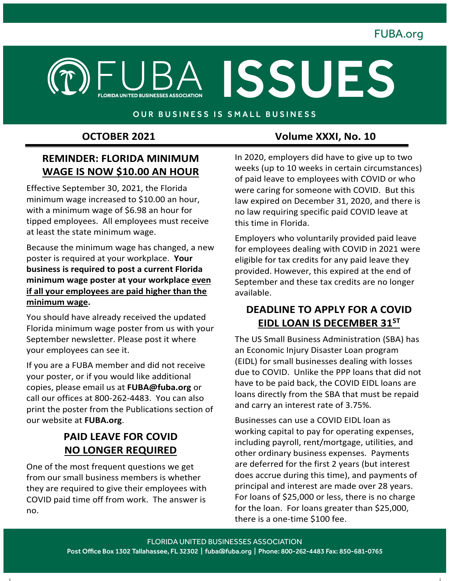

#### OUR BUSINESS IS SMALL BUSINESS

## **REMINDER: FLORIDA MINIMUM WAGE IS NOW \$10.00 AN HOUR**

Effective September 30, 2021, the Florida minimum wage increased to \$10.00 an hour, with a minimum wage of \$6.98 an hour for tipped employees. All employees must receive at least the state minimum wage.

Because the minimum wage has changed, a new poster is required at your workplace. **Your business is required to post a current Florida minimum wage poster at your workplace even if all your employees are paid higher than the minimum wage.** 

You should have already received the updated Florida minimum wage poster from us with your September newsletter. Please post it where your employees can see it.

If you are a FUBA member and did not receive your poster, or if you would like additional copies, please email us at **FUBA@fuba.org** or call our offices at 800-262-4483. You can also print the poster from the Publications section of our website at **FUBA.org**.

## **PAID LEAVE FOR COVID NO LONGER REQUIRED**

One of the most frequent questions we get from our small business members is whether they are required to give their employees with COVID paid time off from work. The answer is no.

#### **OCTOBER 2021** Volume XXXI, No. 10

In 2020, employers did have to give up to two weeks (up to 10 weeks in certain circumstances) of paid leave to employees with COVID or who were caring for someone with COVID. But this law expired on December 31, 2020, and there is no law requiring specific paid COVID leave at this time in Florida.

Employers who voluntarily provided paid leave for employees dealing with COVID in 2021 were eligible for tax credits for any paid leave they provided. However, this expired at the end of September and these tax credits are no longer available.

### **DEADLINE TO APPLY FOR A COVID EIDL LOAN IS DECEMBER 31ST**

The US Small Business Administration (SBA) has an Economic Injury Disaster Loan program (EIDL) for small businesses dealing with losses due to COVID. Unlike the PPP loans that did not have to be paid back, the COVID EIDL loans are loans directly from the SBA that must be repaid and carry an interest rate of 3.75%.

Businesses can use a COVID EIDL loan as working capital to pay for operating expenses, including payroll, rent/mortgage, utilities, and other ordinary business expenses. Payments are deferred for the first 2 years (but interest does accrue during this time), and payments of principal and interest are made over 28 years. For loans of \$25,000 or less, there is no charge for the loan. For loans greater than \$25,000, there is a one-time \$100 fee.